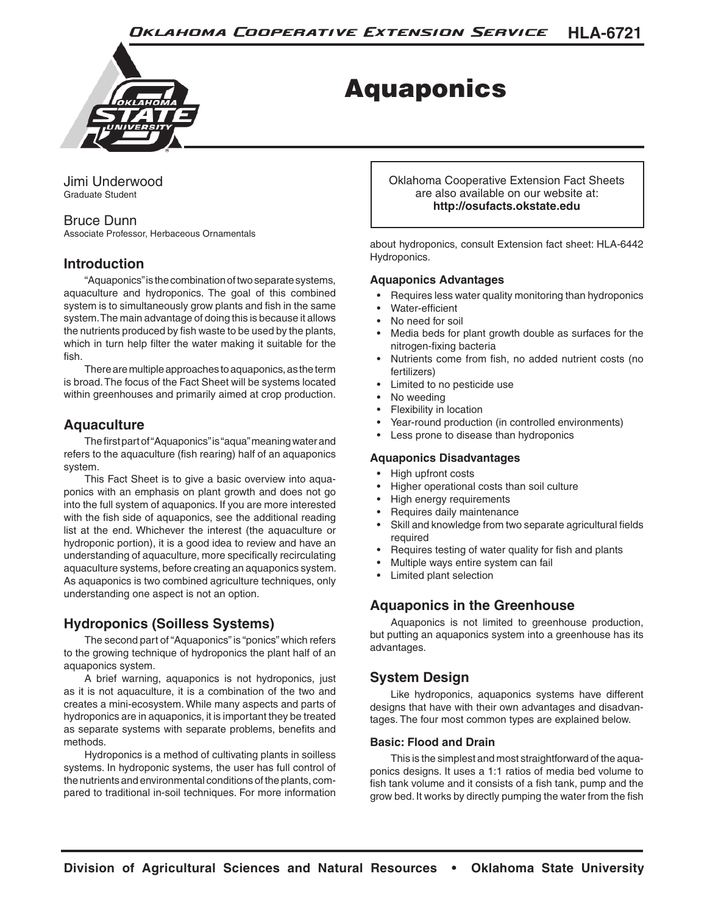

# Aquaponics

Jimi Underwood Graduate Student

# Bruce Dunn

Associate Professor, Herbaceous Ornamentals

# **Introduction**

"Aquaponics" is the combination of two separate systems, aquaculture and hydroponics. The goal of this combined system is to simultaneously grow plants and fish in the same system. The main advantage of doing this is because it allows the nutrients produced by fish waste to be used by the plants, which in turn help filter the water making it suitable for the fish.

There are multiple approaches to aquaponics, as the term is broad. The focus of the Fact Sheet will be systems located within greenhouses and primarily aimed at crop production.

# **Aquaculture**

The first part of "Aquaponics" is "aqua" meaning water and refers to the aquaculture (fish rearing) half of an aquaponics system.

This Fact Sheet is to give a basic overview into aquaponics with an emphasis on plant growth and does not go into the full system of aquaponics. If you are more interested with the fish side of aquaponics, see the additional reading list at the end. Whichever the interest (the aquaculture or hydroponic portion), it is a good idea to review and have an understanding of aquaculture, more specifically recirculating aquaculture systems, before creating an aquaponics system. As aquaponics is two combined agriculture techniques, only understanding one aspect is not an option.

# **Hydroponics (Soilless Systems)**

The second part of "Aquaponics" is "ponics" which refers to the growing technique of hydroponics the plant half of an aquaponics system.

A brief warning, aquaponics is not hydroponics, just as it is not aquaculture, it is a combination of the two and creates a mini-ecosystem. While many aspects and parts of hydroponics are in aquaponics, it is important they be treated as separate systems with separate problems, benefits and methods.

Hydroponics is a method of cultivating plants in soilless systems. In hydroponic systems, the user has full control of the nutrients and environmental conditions of the plants, compared to traditional in-soil techniques. For more information Oklahoma Cooperative Extension Fact Sheets are also available on our website at: **http://osufacts.okstate.edu**

about hydroponics, consult Extension fact sheet: HLA-6442 Hydroponics.

# **Aquaponics Advantages**

- Requires less water quality monitoring than hydroponics
- Water-efficient
- No need for soil
- Media beds for plant growth double as surfaces for the nitrogen-fixing bacteria
- Nutrients come from fish, no added nutrient costs (no fertilizers)
- Limited to no pesticide use
- No weeding
- Flexibility in location
- Year-round production (in controlled environments)
- Less prone to disease than hydroponics

#### **Aquaponics Disadvantages**

- High upfront costs
- Higher operational costs than soil culture
- High energy requirements
- Requires daily maintenance
- Skill and knowledge from two separate agricultural fields required
- Requires testing of water quality for fish and plants
- Multiple ways entire system can fail
- Limited plant selection

# **Aquaponics in the Greenhouse**

Aquaponics is not limited to greenhouse production, but putting an aquaponics system into a greenhouse has its advantages.

# **System Design**

Like hydroponics, aquaponics systems have different designs that have with their own advantages and disadvantages. The four most common types are explained below.

#### **Basic: Flood and Drain**

This is the simplest and most straightforward of the aquaponics designs. It uses a 1:1 ratios of media bed volume to fish tank volume and it consists of a fish tank, pump and the grow bed. It works by directly pumping the water from the fish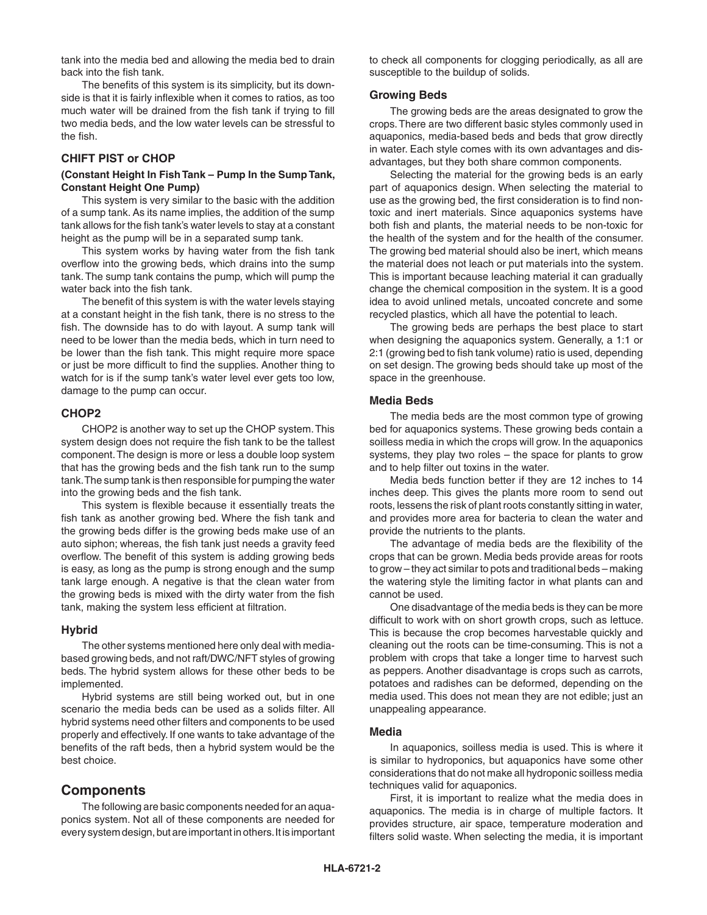tank into the media bed and allowing the media bed to drain back into the fish tank.

The benefits of this system is its simplicity, but its downside is that it is fairly inflexible when it comes to ratios, as too much water will be drained from the fish tank if trying to fill two media beds, and the low water levels can be stressful to the fish.

#### **CHIFT PIST or CHOP**

#### **(Constant Height In Fish Tank – Pump In the Sump Tank, Constant Height One Pump)**

This system is very similar to the basic with the addition of a sump tank. As its name implies, the addition of the sump tank allows for the fish tank's water levels to stay at a constant height as the pump will be in a separated sump tank.

This system works by having water from the fish tank overflow into the growing beds, which drains into the sump tank. The sump tank contains the pump, which will pump the water back into the fish tank.

The benefit of this system is with the water levels staying at a constant height in the fish tank, there is no stress to the fish. The downside has to do with layout. A sump tank will need to be lower than the media beds, which in turn need to be lower than the fish tank. This might require more space or just be more difficult to find the supplies. Another thing to watch for is if the sump tank's water level ever gets too low, damage to the pump can occur.

#### **CHOP2**

CHOP2 is another way to set up the CHOP system. This system design does not require the fish tank to be the tallest component. The design is more or less a double loop system that has the growing beds and the fish tank run to the sump tank. The sump tank is then responsible for pumping the water into the growing beds and the fish tank.

This system is flexible because it essentially treats the fish tank as another growing bed. Where the fish tank and the growing beds differ is the growing beds make use of an auto siphon; whereas, the fish tank just needs a gravity feed overflow. The benefit of this system is adding growing beds is easy, as long as the pump is strong enough and the sump tank large enough. A negative is that the clean water from the growing beds is mixed with the dirty water from the fish tank, making the system less efficient at filtration.

#### **Hybrid**

The other systems mentioned here only deal with mediabased growing beds, and not raft/DWC/NFT styles of growing beds. The hybrid system allows for these other beds to be implemented.

Hybrid systems are still being worked out, but in one scenario the media beds can be used as a solids filter. All hybrid systems need other filters and components to be used properly and effectively. If one wants to take advantage of the benefits of the raft beds, then a hybrid system would be the best choice.

#### **Components**

The following are basic components needed for an aquaponics system. Not all of these components are needed for every system design, but are important in others. It is important to check all components for clogging periodically, as all are susceptible to the buildup of solids.

#### **Growing Beds**

The growing beds are the areas designated to grow the crops. There are two different basic styles commonly used in aquaponics, media-based beds and beds that grow directly in water. Each style comes with its own advantages and disadvantages, but they both share common components.

Selecting the material for the growing beds is an early part of aquaponics design. When selecting the material to use as the growing bed, the first consideration is to find nontoxic and inert materials. Since aquaponics systems have both fish and plants, the material needs to be non-toxic for the health of the system and for the health of the consumer. The growing bed material should also be inert, which means the material does not leach or put materials into the system. This is important because leaching material it can gradually change the chemical composition in the system. It is a good idea to avoid unlined metals, uncoated concrete and some recycled plastics, which all have the potential to leach.

The growing beds are perhaps the best place to start when designing the aquaponics system. Generally, a 1:1 or 2:1 (growing bed to fish tank volume) ratio is used, depending on set design. The growing beds should take up most of the space in the greenhouse.

#### **Media Beds**

The media beds are the most common type of growing bed for aquaponics systems. These growing beds contain a soilless media in which the crops will grow. In the aquaponics systems, they play two roles – the space for plants to grow and to help filter out toxins in the water.

Media beds function better if they are 12 inches to 14 inches deep. This gives the plants more room to send out roots, lessens the risk of plant roots constantly sitting in water, and provides more area for bacteria to clean the water and provide the nutrients to the plants.

The advantage of media beds are the flexibility of the crops that can be grown. Media beds provide areas for roots to grow – they act similar to pots and traditional beds – making the watering style the limiting factor in what plants can and cannot be used.

One disadvantage of the media beds is they can be more difficult to work with on short growth crops, such as lettuce. This is because the crop becomes harvestable quickly and cleaning out the roots can be time-consuming. This is not a problem with crops that take a longer time to harvest such as peppers. Another disadvantage is crops such as carrots, potatoes and radishes can be deformed, depending on the media used. This does not mean they are not edible; just an unappealing appearance.

#### **Media**

In aquaponics, soilless media is used. This is where it is similar to hydroponics, but aquaponics have some other considerations that do not make all hydroponic soilless media techniques valid for aquaponics.

First, it is important to realize what the media does in aquaponics. The media is in charge of multiple factors. It provides structure, air space, temperature moderation and filters solid waste. When selecting the media, it is important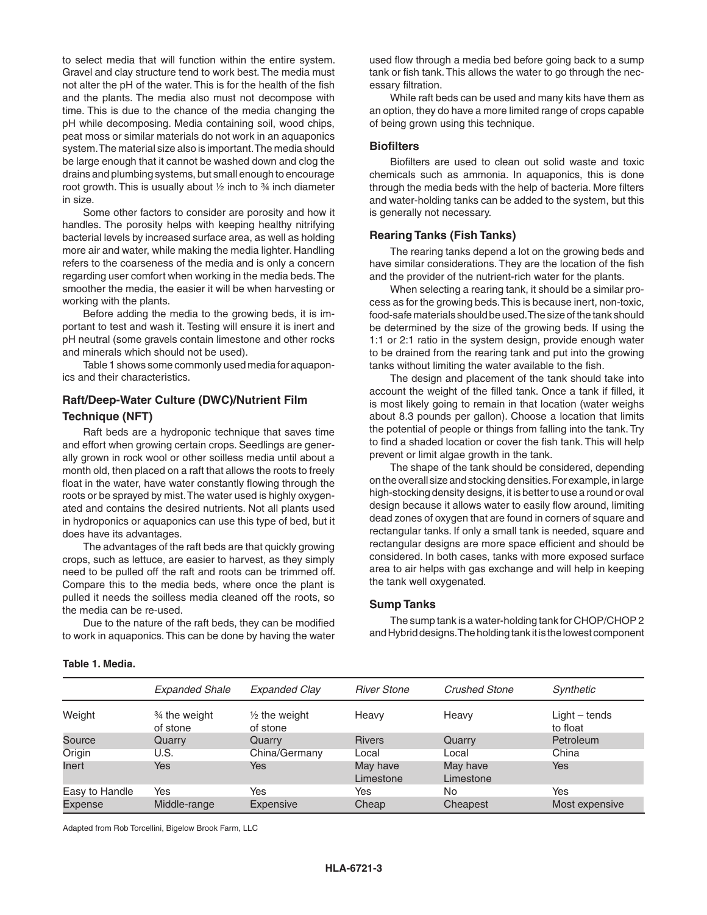to select media that will function within the entire system. Gravel and clay structure tend to work best. The media must not alter the pH of the water. This is for the health of the fish and the plants. The media also must not decompose with time. This is due to the chance of the media changing the pH while decomposing. Media containing soil, wood chips, peat moss or similar materials do not work in an aquaponics system. The material size also is important. The media should be large enough that it cannot be washed down and clog the drains and plumbing systems, but small enough to encourage root growth. This is usually about ½ inch to ¾ inch diameter in size.

Some other factors to consider are porosity and how it handles. The porosity helps with keeping healthy nitrifying bacterial levels by increased surface area, as well as holding more air and water, while making the media lighter. Handling refers to the coarseness of the media and is only a concern regarding user comfort when working in the media beds. The smoother the media, the easier it will be when harvesting or working with the plants.

Before adding the media to the growing beds, it is important to test and wash it. Testing will ensure it is inert and pH neutral (some gravels contain limestone and other rocks and minerals which should not be used).

Table 1 shows some commonly used media for aquaponics and their characteristics.

## **Raft/Deep-Water Culture (DWC)/Nutrient Film Technique (NFT)**

Raft beds are a hydroponic technique that saves time and effort when growing certain crops. Seedlings are generally grown in rock wool or other soilless media until about a month old, then placed on a raft that allows the roots to freely float in the water, have water constantly flowing through the roots or be sprayed by mist. The water used is highly oxygenated and contains the desired nutrients. Not all plants used in hydroponics or aquaponics can use this type of bed, but it does have its advantages.

The advantages of the raft beds are that quickly growing crops, such as lettuce, are easier to harvest, as they simply need to be pulled off the raft and roots can be trimmed off. Compare this to the media beds, where once the plant is pulled it needs the soilless media cleaned off the roots, so the media can be re-used.

Due to the nature of the raft beds, they can be modified to work in aquaponics. This can be done by having the water

used flow through a media bed before going back to a sump tank or fish tank. This allows the water to go through the necessary filtration.

While raft beds can be used and many kits have them as an option, they do have a more limited range of crops capable of being grown using this technique.

#### **Biofilters**

Biofilters are used to clean out solid waste and toxic chemicals such as ammonia. In aquaponics, this is done through the media beds with the help of bacteria. More filters and water-holding tanks can be added to the system, but this is generally not necessary.

#### **Rearing Tanks (Fish Tanks)**

The rearing tanks depend a lot on the growing beds and have similar considerations. They are the location of the fish and the provider of the nutrient-rich water for the plants.

When selecting a rearing tank, it should be a similar process as for the growing beds. This is because inert, non-toxic, food-safe materials should be used. The size of the tank should be determined by the size of the growing beds. If using the 1:1 or 2:1 ratio in the system design, provide enough water to be drained from the rearing tank and put into the growing tanks without limiting the water available to the fish.

The design and placement of the tank should take into account the weight of the filled tank. Once a tank if filled, it is most likely going to remain in that location (water weighs about 8.3 pounds per gallon). Choose a location that limits the potential of people or things from falling into the tank. Try to find a shaded location or cover the fish tank. This will help prevent or limit algae growth in the tank.

The shape of the tank should be considered, depending on the overall size and stocking densities. For example, in large high-stocking density designs, it is better to use a round or oval design because it allows water to easily flow around, limiting dead zones of oxygen that are found in corners of square and rectangular tanks. If only a small tank is needed, square and rectangular designs are more space efficient and should be considered. In both cases, tanks with more exposed surface area to air helps with gas exchange and will help in keeping the tank well oxygenated.

#### **Sump Tanks**

The sump tank is a water-holding tank for CHOP/CHOP 2 and Hybrid designs. The holding tank it is the lowest component

|                | <b>Expanded Shale</b>      | Expanded Clay                        | <b>River Stone</b>    | <b>Crushed Stone</b>  | Synthetic                   |
|----------------|----------------------------|--------------------------------------|-----------------------|-----------------------|-----------------------------|
| Weight         | 3⁄4 the weight<br>of stone | $\frac{1}{2}$ the weight<br>of stone | Heavy                 | Heavy                 | $Light - tends$<br>to float |
| Source         | Quarry                     | Quarry                               | <b>Rivers</b>         | Quarry                | Petroleum                   |
| Origin         | U.S.                       | China/Germany                        | Local                 | Local                 | China                       |
| Inert          | Yes                        | Yes                                  | May have<br>Limestone | May have<br>Limestone | Yes                         |
| Easy to Handle | Yes                        | Yes                                  | Yes                   | No                    | Yes                         |
| Expense        | Middle-range               | Expensive                            | Cheap                 | Cheapest              | Most expensive              |

**Table 1. Media.**

Adapted from Rob Torcellini, Bigelow Brook Farm, LLC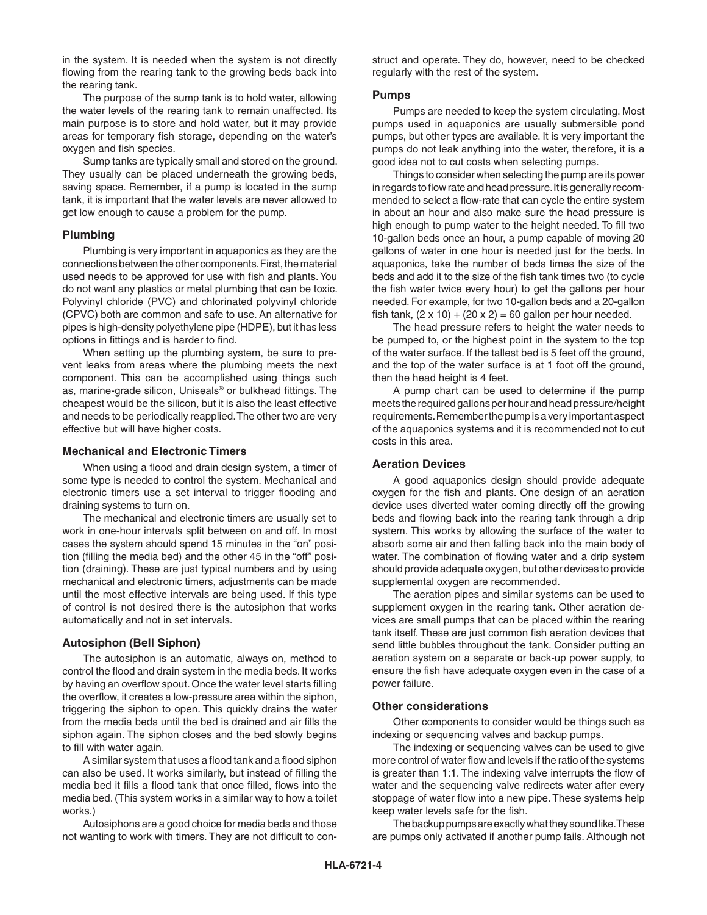in the system. It is needed when the system is not directly flowing from the rearing tank to the growing beds back into the rearing tank.

The purpose of the sump tank is to hold water, allowing the water levels of the rearing tank to remain unaffected. Its main purpose is to store and hold water, but it may provide areas for temporary fish storage, depending on the water's oxygen and fish species.

Sump tanks are typically small and stored on the ground. They usually can be placed underneath the growing beds, saving space. Remember, if a pump is located in the sump tank, it is important that the water levels are never allowed to get low enough to cause a problem for the pump.

#### **Plumbing**

Plumbing is very important in aquaponics as they are the connections between the other components. First, the material used needs to be approved for use with fish and plants. You do not want any plastics or metal plumbing that can be toxic. Polyvinyl chloride (PVC) and chlorinated polyvinyl chloride (CPVC) both are common and safe to use. An alternative for pipes is high-density polyethylene pipe (HDPE), but it has less options in fittings and is harder to find.

When setting up the plumbing system, be sure to prevent leaks from areas where the plumbing meets the next component. This can be accomplished using things such as, marine-grade silicon, Uniseals® or bulkhead fittings. The cheapest would be the silicon, but it is also the least effective and needs to be periodically reapplied. The other two are very effective but will have higher costs.

#### **Mechanical and Electronic Timers**

When using a flood and drain design system, a timer of some type is needed to control the system. Mechanical and electronic timers use a set interval to trigger flooding and draining systems to turn on.

The mechanical and electronic timers are usually set to work in one-hour intervals split between on and off. In most cases the system should spend 15 minutes in the "on" position (filling the media bed) and the other 45 in the "off" position (draining). These are just typical numbers and by using mechanical and electronic timers, adjustments can be made until the most effective intervals are being used. If this type of control is not desired there is the autosiphon that works automatically and not in set intervals.

#### **Autosiphon (Bell Siphon)**

The autosiphon is an automatic, always on, method to control the flood and drain system in the media beds. It works by having an overflow spout. Once the water level starts filling the overflow, it creates a low-pressure area within the siphon, triggering the siphon to open. This quickly drains the water from the media beds until the bed is drained and air fills the siphon again. The siphon closes and the bed slowly begins to fill with water again.

A similar system that uses a flood tank and a flood siphon can also be used. It works similarly, but instead of filling the media bed it fills a flood tank that once filled, flows into the media bed. (This system works in a similar way to how a toilet works.)

Autosiphons are a good choice for media beds and those not wanting to work with timers. They are not difficult to construct and operate. They do, however, need to be checked regularly with the rest of the system.

#### **Pumps**

Pumps are needed to keep the system circulating. Most pumps used in aquaponics are usually submersible pond pumps, but other types are available. It is very important the pumps do not leak anything into the water, therefore, it is a good idea not to cut costs when selecting pumps.

Things to consider when selecting the pump are its power in regards to flow rate and head pressure. It is generally recommended to select a flow-rate that can cycle the entire system in about an hour and also make sure the head pressure is high enough to pump water to the height needed. To fill two 10-gallon beds once an hour, a pump capable of moving 20 gallons of water in one hour is needed just for the beds. In aquaponics, take the number of beds times the size of the beds and add it to the size of the fish tank times two (to cycle the fish water twice every hour) to get the gallons per hour needed. For example, for two 10-gallon beds and a 20-gallon fish tank,  $(2 \times 10) + (20 \times 2) = 60$  gallon per hour needed.

The head pressure refers to height the water needs to be pumped to, or the highest point in the system to the top of the water surface. If the tallest bed is 5 feet off the ground, and the top of the water surface is at 1 foot off the ground, then the head height is 4 feet.

A pump chart can be used to determine if the pump meets the required gallons per hour and head pressure/height requirements. Remember the pump is a very important aspect of the aquaponics systems and it is recommended not to cut costs in this area.

#### **Aeration Devices**

A good aquaponics design should provide adequate oxygen for the fish and plants. One design of an aeration device uses diverted water coming directly off the growing beds and flowing back into the rearing tank through a drip system. This works by allowing the surface of the water to absorb some air and then falling back into the main body of water. The combination of flowing water and a drip system should provide adequate oxygen, but other devices to provide supplemental oxygen are recommended.

The aeration pipes and similar systems can be used to supplement oxygen in the rearing tank. Other aeration devices are small pumps that can be placed within the rearing tank itself. These are just common fish aeration devices that send little bubbles throughout the tank. Consider putting an aeration system on a separate or back-up power supply, to ensure the fish have adequate oxygen even in the case of a power failure.

#### **Other considerations**

Other components to consider would be things such as indexing or sequencing valves and backup pumps.

The indexing or sequencing valves can be used to give more control of water flow and levels if the ratio of the systems is greater than 1:1. The indexing valve interrupts the flow of water and the sequencing valve redirects water after every stoppage of water flow into a new pipe. These systems help keep water levels safe for the fish.

The backup pumps are exactly what they sound like. These are pumps only activated if another pump fails. Although not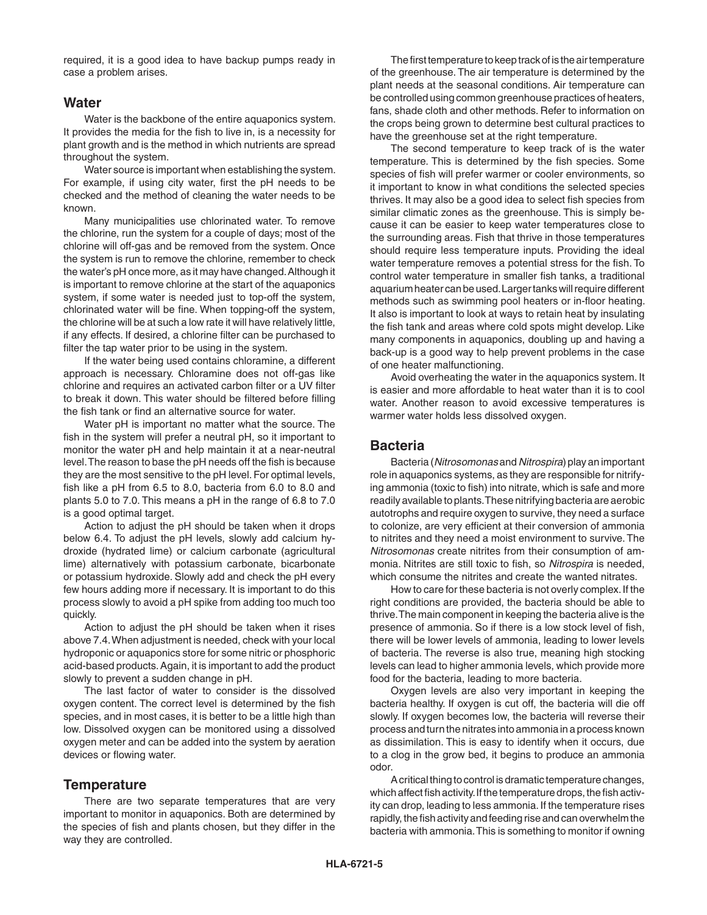required, it is a good idea to have backup pumps ready in case a problem arises.

#### **Water**

Water is the backbone of the entire aquaponics system. It provides the media for the fish to live in, is a necessity for plant growth and is the method in which nutrients are spread throughout the system.

Water source is important when establishing the system. For example, if using city water, first the pH needs to be checked and the method of cleaning the water needs to be known.

Many municipalities use chlorinated water. To remove the chlorine, run the system for a couple of days; most of the chlorine will off-gas and be removed from the system. Once the system is run to remove the chlorine, remember to check the water's pH once more, as it may have changed. Although it is important to remove chlorine at the start of the aquaponics system, if some water is needed just to top-off the system, chlorinated water will be fine. When topping-off the system, the chlorine will be at such a low rate it will have relatively little, if any effects. If desired, a chlorine filter can be purchased to filter the tap water prior to be using in the system.

If the water being used contains chloramine, a different approach is necessary. Chloramine does not off-gas like chlorine and requires an activated carbon filter or a UV filter to break it down. This water should be filtered before filling the fish tank or find an alternative source for water.

Water pH is important no matter what the source. The fish in the system will prefer a neutral pH, so it important to monitor the water pH and help maintain it at a near-neutral level. The reason to base the pH needs off the fish is because they are the most sensitive to the pH level. For optimal levels, fish like a pH from 6.5 to 8.0, bacteria from 6.0 to 8.0 and plants 5.0 to 7.0. This means a pH in the range of 6.8 to 7.0 is a good optimal target.

Action to adjust the pH should be taken when it drops below 6.4. To adjust the pH levels, slowly add calcium hydroxide (hydrated lime) or calcium carbonate (agricultural lime) alternatively with potassium carbonate, bicarbonate or potassium hydroxide. Slowly add and check the pH every few hours adding more if necessary. It is important to do this process slowly to avoid a pH spike from adding too much too quickly.

Action to adjust the pH should be taken when it rises above 7.4. When adjustment is needed, check with your local hydroponic or aquaponics store for some nitric or phosphoric acid-based products. Again, it is important to add the product slowly to prevent a sudden change in pH.

The last factor of water to consider is the dissolved oxygen content. The correct level is determined by the fish species, and in most cases, it is better to be a little high than low. Dissolved oxygen can be monitored using a dissolved oxygen meter and can be added into the system by aeration devices or flowing water.

#### **Temperature**

There are two separate temperatures that are very important to monitor in aquaponics. Both are determined by the species of fish and plants chosen, but they differ in the way they are controlled.

The first temperature to keep track of is the air temperature of the greenhouse. The air temperature is determined by the plant needs at the seasonal conditions. Air temperature can be controlled using common greenhouse practices of heaters, fans, shade cloth and other methods. Refer to information on the crops being grown to determine best cultural practices to have the greenhouse set at the right temperature.

The second temperature to keep track of is the water temperature. This is determined by the fish species. Some species of fish will prefer warmer or cooler environments, so it important to know in what conditions the selected species thrives. It may also be a good idea to select fish species from similar climatic zones as the greenhouse. This is simply because it can be easier to keep water temperatures close to the surrounding areas. Fish that thrive in those temperatures should require less temperature inputs. Providing the ideal water temperature removes a potential stress for the fish. To control water temperature in smaller fish tanks, a traditional aquarium heater can be used. Larger tanks will require different methods such as swimming pool heaters or in-floor heating. It also is important to look at ways to retain heat by insulating the fish tank and areas where cold spots might develop. Like many components in aquaponics, doubling up and having a back-up is a good way to help prevent problems in the case of one heater malfunctioning.

Avoid overheating the water in the aquaponics system. It is easier and more affordable to heat water than it is to cool water. Another reason to avoid excessive temperatures is warmer water holds less dissolved oxygen.

## **Bacteria**

Bacteria (*Nitrosomonas* and *Nitrospira*) play an important role in aquaponics systems, as they are responsible for nitrifying ammonia (toxic to fish) into nitrate, which is safe and more readily available to plants. These nitrifying bacteria are aerobic autotrophs and require oxygen to survive, they need a surface to colonize, are very efficient at their conversion of ammonia to nitrites and they need a moist environment to survive. The *Nitrosomonas* create nitrites from their consumption of ammonia. Nitrites are still toxic to fish, so *Nitrospira* is needed, which consume the nitrites and create the wanted nitrates.

How to care for these bacteria is not overly complex. If the right conditions are provided, the bacteria should be able to thrive. The main component in keeping the bacteria alive is the presence of ammonia. So if there is a low stock level of fish, there will be lower levels of ammonia, leading to lower levels of bacteria. The reverse is also true, meaning high stocking levels can lead to higher ammonia levels, which provide more food for the bacteria, leading to more bacteria.

Oxygen levels are also very important in keeping the bacteria healthy. If oxygen is cut off, the bacteria will die off slowly. If oxygen becomes low, the bacteria will reverse their process and turn the nitrates into ammonia in a process known as dissimilation. This is easy to identify when it occurs, due to a clog in the grow bed, it begins to produce an ammonia odor.

A critical thing to control is dramatic temperature changes, which affect fish activity. If the temperature drops, the fish activity can drop, leading to less ammonia. If the temperature rises rapidly, the fish activity and feeding rise and can overwhelm the bacteria with ammonia. This is something to monitor if owning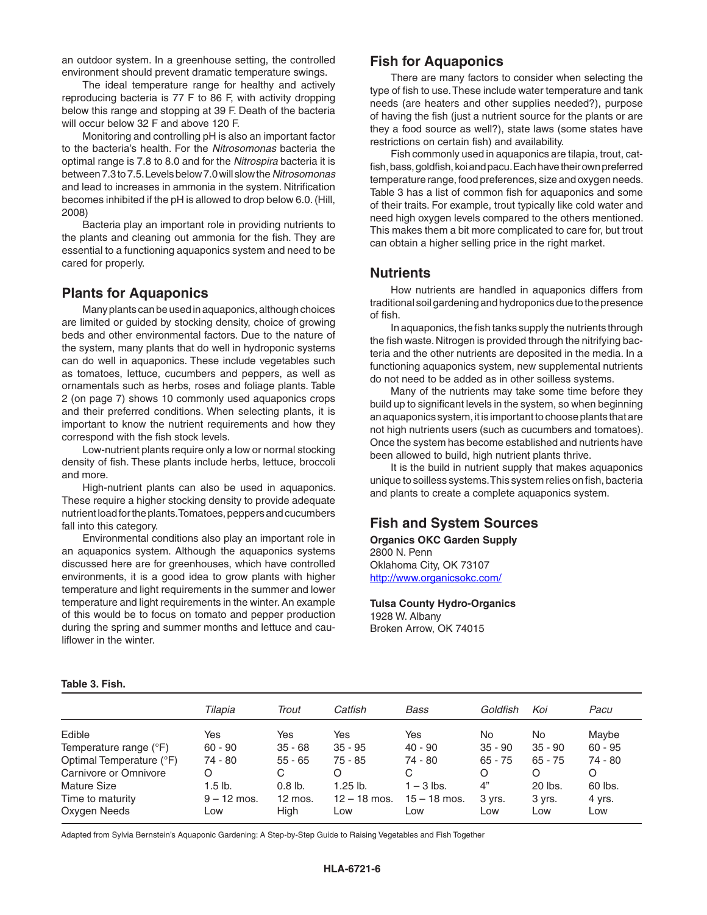an outdoor system. In a greenhouse setting, the controlled environment should prevent dramatic temperature swings.

The ideal temperature range for healthy and actively reproducing bacteria is 77 F to 86 F, with activity dropping below this range and stopping at 39 F. Death of the bacteria will occur below 32 F and above 120 F.

Monitoring and controlling pH is also an important factor to the bacteria's health. For the *Nitrosomonas* bacteria the optimal range is 7.8 to 8.0 and for the *Nitrospira* bacteria it is between 7.3 to 7.5. Levels below 7.0 will slow the *Nitrosomonas* and lead to increases in ammonia in the system. Nitrification becomes inhibited if the pH is allowed to drop below 6.0. (Hill, 2008)

Bacteria play an important role in providing nutrients to the plants and cleaning out ammonia for the fish. They are essential to a functioning aquaponics system and need to be cared for properly.

## **Plants for Aquaponics**

Many plants can be used in aquaponics, although choices are limited or guided by stocking density, choice of growing beds and other environmental factors. Due to the nature of the system, many plants that do well in hydroponic systems can do well in aquaponics. These include vegetables such as tomatoes, lettuce, cucumbers and peppers, as well as ornamentals such as herbs, roses and foliage plants. Table 2 (on page 7) shows 10 commonly used aquaponics crops and their preferred conditions. When selecting plants, it is important to know the nutrient requirements and how they correspond with the fish stock levels.

Low-nutrient plants require only a low or normal stocking density of fish. These plants include herbs, lettuce, broccoli and more.

High-nutrient plants can also be used in aquaponics. These require a higher stocking density to provide adequate nutrient load for the plants. Tomatoes, peppers and cucumbers fall into this category.

Environmental conditions also play an important role in an aquaponics system. Although the aquaponics systems discussed here are for greenhouses, which have controlled environments, it is a good idea to grow plants with higher temperature and light requirements in the summer and lower temperature and light requirements in the winter. An example of this would be to focus on tomato and pepper production during the spring and summer months and lettuce and cauliflower in the winter.

# **Fish for Aquaponics**

There are many factors to consider when selecting the type of fish to use. These include water temperature and tank needs (are heaters and other supplies needed?), purpose of having the fish (just a nutrient source for the plants or are they a food source as well?), state laws (some states have restrictions on certain fish) and availability.

Fish commonly used in aquaponics are tilapia, trout, catfish, bass, goldfish, koi and pacu. Each have their own preferred temperature range, food preferences, size and oxygen needs. Table 3 has a list of common fish for aquaponics and some of their traits. For example, trout typically like cold water and need high oxygen levels compared to the others mentioned. This makes them a bit more complicated to care for, but trout can obtain a higher selling price in the right market.

#### **Nutrients**

How nutrients are handled in aquaponics differs from traditional soil gardening and hydroponics due to the presence of fish.

In aquaponics, the fish tanks supply the nutrients through the fish waste. Nitrogen is provided through the nitrifying bacteria and the other nutrients are deposited in the media. In a functioning aquaponics system, new supplemental nutrients do not need to be added as in other soilless systems.

Many of the nutrients may take some time before they build up to significant levels in the system, so when beginning an aquaponics system, it is important to choose plants that are not high nutrients users (such as cucumbers and tomatoes). Once the system has become established and nutrients have been allowed to build, high nutrient plants thrive.

It is the build in nutrient supply that makes aquaponics unique to soilless systems. This system relies on fish, bacteria and plants to create a complete aquaponics system.

# **Fish and System Sources**

**Organics OKC Garden Supply** 2800 N. Penn Oklahoma City, OK 73107 http://www.organicsokc.com/

**Tulsa County Hydro-Organics** 1928 W. Albany Broken Arrow, OK 74015

#### **Table 3. Fish.**

|                          | Tilapia       | Trout             | Catfish        | Bass           | Goldfish  | Koi       | Pacu      |
|--------------------------|---------------|-------------------|----------------|----------------|-----------|-----------|-----------|
| Edible                   | Yes           | Yes               | Yes            | Yes            | No        | No.       | Maybe     |
| Temperature range (°F)   | $60 - 90$     | $35 - 68$         | $35 - 95$      | $40 - 90$      | $35 - 90$ | $35 - 90$ | $60 - 95$ |
| Optimal Temperature (°F) | 74 - 80       | $55 - 65$         | $75 - 85$      | 74 - 80        | $65 - 75$ | $65 - 75$ | 74 - 80   |
| Carnivore or Omnivore    | O             | С                 | O              | C              | O         | O         | O         |
| Mature Size              | $1.5$ lb.     | $0.8$ lb.         | $1.25$ lb.     | 1 – 3 lbs.     | 4"        | 20 lbs.   | 60 lbs.   |
| Time to maturity         | $9 - 12$ mos. | $12 \text{ mos.}$ | $12 - 18$ mos. | $15 - 18$ mos. | 3 yrs.    | 3 yrs.    | 4 yrs.    |
| Oxygen Needs             | Low           | High              | Low            | Low            | _OW       | Low       | Low       |

Adapted from Sylvia Bernstein's Aquaponic Gardening: A Step-by-Step Guide to Raising Vegetables and Fish Together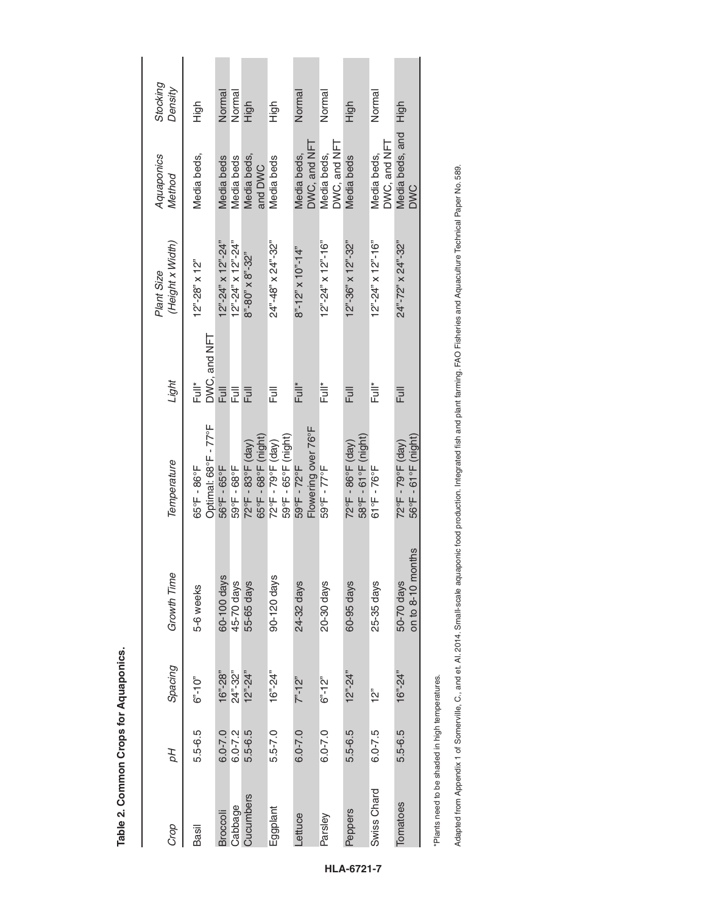| Crop                                           | рΗ          | Spacing                     | <b>Growth Time</b>                     | Temperature                                             | Light                                       | (Height x Width)<br>Plant Size           | Aquaponics<br>Method              | Stocking<br>Density |
|------------------------------------------------|-------------|-----------------------------|----------------------------------------|---------------------------------------------------------|---------------------------------------------|------------------------------------------|-----------------------------------|---------------------|
| Basil                                          | 5.5-6.5     | $6 - 10$                    | 5-6 weeks                              | Optimal: 68°F - 77°F<br>$65^{\circ}$ F - $86^{\circ}$ F | $DWC$ , and $NET$<br>$\stackrel{*}{\equiv}$ | $12" - 28"$ x $12"$                      | Media beds,                       | High                |
| <b>Broccoli</b>                                | $6.0 - 7.0$ | $16^{\circ}$ -28"           | 60-100 days                            | 56°F - 65°F                                             | Full                                        | $12"$ -24" x 12"-24"                     | Media beds                        | Normal              |
| Cabbage                                        | $6.0 - 7.2$ | $24" - 32"$                 | 45-70 days                             | 59°F-68°F                                               | Full                                        | $12^{n}$ -24" x 12"-24"                  | <b>Media</b> beds                 | Normal              |
| Cucumbers                                      | 5.5-6.5     | $12^{\circ}$ -24"           | 55-65 days                             | 65°F - 68°F (night)<br>72°F - 83°F (day)                | Full                                        | $8" - 80" \times 8" - 32"$               | Media beds,<br>and DWC            | High                |
| Eggplant                                       | $5.5 - 7.0$ | $16^{\circ}$ -24"           | 90-120 days                            | 59°F - 65°F (night)<br>72°F - 79°F (day)                | <b>Full</b>                                 | $24" - 48" \times 24" - 32"$             | Media beds                        | Figh                |
| Lettuce                                        | $6.0 - 7.0$ | $7 - 12$                    | 24-32 days                             | Flowering over 76°F<br>59°F - 72°F                      | Èu*                                         | $8" - 12" \times 10" - 14"$              | $DMC$ , and $NFT$<br>Vledia beds, | Normal              |
| Parsley                                        | $6.0 - 7.0$ | $6 - 12$                    | 20-30 days                             | 59°F - 77°F                                             | İ<br>Ful*                                   | $12^{6} - 24^{6} \times 12^{6} - 16^{6}$ | DWC, and NFT<br>Media beds,       | Normal              |
| Peppers                                        | 5.5-6.5     | $12" - 24"$                 | 60-95 days                             | 58°F - 61°F (night)<br>72°F - 86°F (day)                | Full                                        | $12^{\circ}$ -36" x $12^{\circ}$ -32"    | Media beds                        | High                |
| Swiss Chard                                    | $6.0 - 7.5$ | is<br>S                     | 25-35 days                             | $61^{\circ}F - 76^{\circ}F$                             | İ<br>Tur                                    | $12^{n} - 24^{n} \times 12^{n} - 16^{n}$ | DWC, and NFT<br>Media beds,       | Normal              |
| Tomatoes                                       | 5.5-6.5     | $16^{\circ}$ -24 $^{\circ}$ | nonths<br>on to $8-10$ r<br>50-70 days | 56°F - 61°F (night)<br>72°F - 79°F (day)                | <b>Full</b>                                 | $24"$ -72" x 24"-32"                     | Media beds, and<br><b>DWC</b>     | High                |
| Plante nood to bo shadod in high tomperatures. |             |                             |                                        |                                                         |                                             |                                          |                                   |                     |

\*Plants need to be shaded in high temperatures.

Adapted from Appendix 1 of Somerville, C., and et. Al. 2014. Small-scale aquaponic food production. Integrated fish and plant farming. FAO Fisheries and Aquaculture Technical Paper No. 589. Adapted from Appendix 1 of Somerville, C., and et. Al. 2014. Small-scale aquaponic food production. Integrated fish and plant farming. FAO Fisheries and Aquaculture Technical Paper No. 589.

**HLA-6721-7**

Table 2. Common Crops for Aquaponics. **Table 2. Common Crops for Aquaponics.**